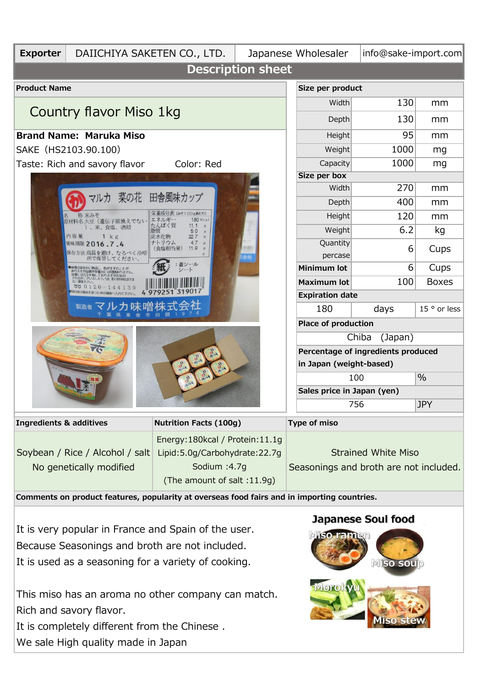

It is completely different from the Chinese . We sale High quality made in Japan